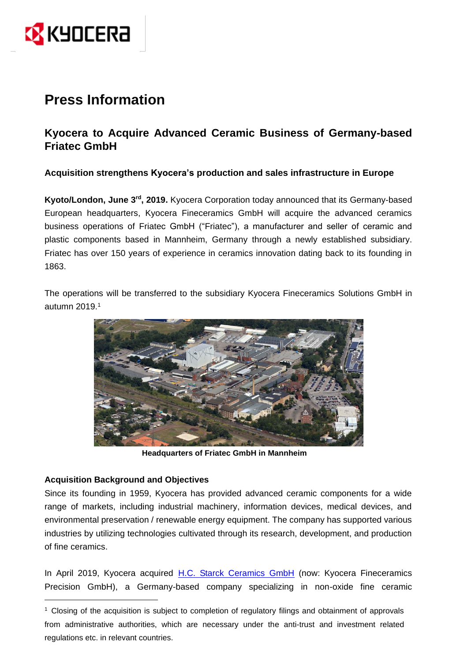

# **Press Information**

## **Kyocera to Acquire Advanced Ceramic Business of Germany-based Friatec GmbH**

### **Acquisition strengthens Kyocera's production and sales infrastructure in Europe**

**Kyoto/London, June 3<sup>rd</sup>, 2019.** Kyocera Corporation today announced that its Germany-based European headquarters, Kyocera Fineceramics GmbH will acquire the advanced ceramics business operations of Friatec GmbH ("Friatec"), a manufacturer and seller of ceramic and plastic components based in Mannheim, Germany through a newly established subsidiary. Friatec has over 150 years of experience in ceramics innovation dating back to its founding in 1863.

The operations will be transferred to the subsidiary Kyocera Fineceramics Solutions GmbH in autumn 2019.<sup>1</sup>



**Headquarters of Friatec GmbH in Mannheim**

#### **Acquisition Background and Objectives**

 $\overline{a}$ 

Since its founding in 1959, Kyocera has provided advanced ceramic components for a wide range of markets, including industrial machinery, information devices, medical devices, and environmental preservation / renewable energy equipment. The company has supported various industries by utilizing technologies cultivated through its research, development, and production of fine ceramics.

In April 2019, Kyocera acquired [H.C. Starck Ceramics GmbH](https://global.kyocera.com/news/2019/0202_ffop.html) (now: Kyocera Fineceramics Precision GmbH), a Germany-based company specializing in non-oxide fine ceramic

<sup>1</sup> Closing of the acquisition is subject to completion of regulatory filings and obtainment of approvals from administrative authorities, which are necessary under the anti-trust and investment related regulations etc. in relevant countries.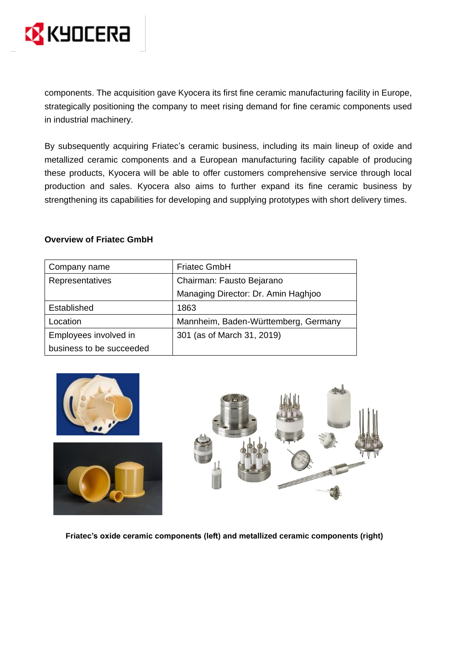

components. The acquisition gave Kyocera its first fine ceramic manufacturing facility in Europe, strategically positioning the company to meet rising demand for fine ceramic components used in industrial machinery.

By subsequently acquiring Friatec's ceramic business, including its main lineup of oxide and metallized ceramic components and a European manufacturing facility capable of producing these products, Kyocera will be able to offer customers comprehensive service through local production and sales. Kyocera also aims to further expand its fine ceramic business by strengthening its capabilities for developing and supplying prototypes with short delivery times.

#### **Overview of Friatec GmbH**

| Company name             | <b>Friatec GmbH</b>                  |
|--------------------------|--------------------------------------|
| Representatives          | Chairman: Fausto Bejarano            |
|                          | Managing Director: Dr. Amin Haghjoo  |
| Established              | 1863                                 |
| Location                 | Mannheim, Baden-Württemberg, Germany |
| Employees involved in    | 301 (as of March 31, 2019)           |
| business to be succeeded |                                      |







**Friatec's oxide ceramic components (left) and metallized ceramic components (right)**